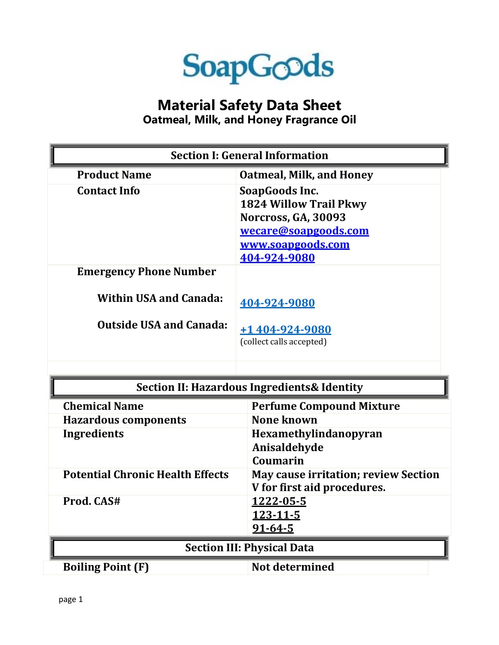

## **Material Safety Data Sheet**

**Oatmeal, Milk, and Honey Fragrance Oil**

| <b>Section I: General Information</b>                   |                                                                                                                                     |
|---------------------------------------------------------|-------------------------------------------------------------------------------------------------------------------------------------|
| <b>Product Name</b>                                     | <b>Oatmeal, Milk, and Honey</b>                                                                                                     |
| <b>Contact Info</b>                                     | SoapGoods Inc.<br><b>1824 Willow Trail Pkwy</b><br>Norcross, GA, 30093<br>wecare@soapgoods.com<br>www.soapgoods.com<br>404-924-9080 |
| <b>Emergency Phone Number</b>                           |                                                                                                                                     |
| <b>Within USA and Canada:</b>                           | 404-924-9080                                                                                                                        |
| <b>Outside USA and Canada:</b>                          | $+1404-924-9080$<br>(collect calls accepted)                                                                                        |
| <b>Section II: Hazardous Ingredients &amp; Identity</b> |                                                                                                                                     |
| <b>Chemical Name</b>                                    | <b>Perfume Compound Mixture</b>                                                                                                     |
| <b>Hazardous components</b>                             | None known                                                                                                                          |
| Ingredients                                             | Hexamethylindanopyran<br>Anisaldehyde<br>Coumarin                                                                                   |
| <b>Potential Chronic Health Effects</b>                 | <b>May cause irritation; review Section</b><br>V for first aid procedures.                                                          |
| Prod. CAS#                                              | <u>1222-05-5</u><br><u>123-11-5</u><br>$91 - 64 - 5$                                                                                |
| <b>Section III: Physical Data</b>                       |                                                                                                                                     |
| <b>Boiling Point (F)</b>                                | <b>Not determined</b>                                                                                                               |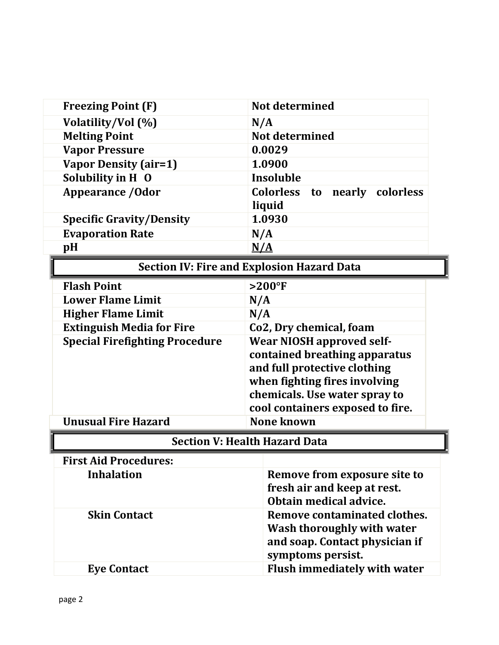| <b>Freezing Point (F)</b>             | Not determined                                                                                                                                                                                          |  |
|---------------------------------------|---------------------------------------------------------------------------------------------------------------------------------------------------------------------------------------------------------|--|
| Volatility/Vol (%)                    | N/A                                                                                                                                                                                                     |  |
| <b>Melting Point</b>                  | Not determined                                                                                                                                                                                          |  |
| <b>Vapor Pressure</b>                 | 0.0029                                                                                                                                                                                                  |  |
| <b>Vapor Density (air=1)</b>          | 1.0900                                                                                                                                                                                                  |  |
| Solubility in H 0                     | Insoluble                                                                                                                                                                                               |  |
| <b>Appearance / Odor</b>              | <b>Colorless</b><br>nearly<br>colorless<br>to                                                                                                                                                           |  |
|                                       | liquid                                                                                                                                                                                                  |  |
| <b>Specific Gravity/Density</b>       | 1.0930                                                                                                                                                                                                  |  |
| <b>Evaporation Rate</b>               | N/A                                                                                                                                                                                                     |  |
| pH                                    | $\underline{N}/\underline{A}$                                                                                                                                                                           |  |
|                                       | <b>Section IV: Fire and Explosion Hazard Data</b>                                                                                                                                                       |  |
| <b>Flash Point</b>                    | $>200$ °F                                                                                                                                                                                               |  |
| <b>Lower Flame Limit</b>              | N/A                                                                                                                                                                                                     |  |
| <b>Higher Flame Limit</b>             | N/A                                                                                                                                                                                                     |  |
| <b>Extinguish Media for Fire</b>      | Co2, Dry chemical, foam                                                                                                                                                                                 |  |
| <b>Special Firefighting Procedure</b> | <b>Wear NIOSH approved self-</b><br>contained breathing apparatus<br>and full protective clothing<br>when fighting fires involving<br>chemicals. Use water spray to<br>cool containers exposed to fire. |  |
| <b>Unusual Fire Hazard</b>            | <b>None known</b>                                                                                                                                                                                       |  |
| <b>Section V: Health Hazard Data</b>  |                                                                                                                                                                                                         |  |
| <b>First Aid Procedures:</b>          |                                                                                                                                                                                                         |  |
| <b>Inhalation</b>                     | Remove from exposure site to<br>fresh air and keep at rest.<br>Obtain medical advice.                                                                                                                   |  |
| <b>Skin Contact</b>                   | Remove contaminated clothes.<br>Wash thoroughly with water<br>and soap. Contact physician if<br>symptoms persist.                                                                                       |  |
| <b>Eye Contact</b>                    | Flush immediately with water                                                                                                                                                                            |  |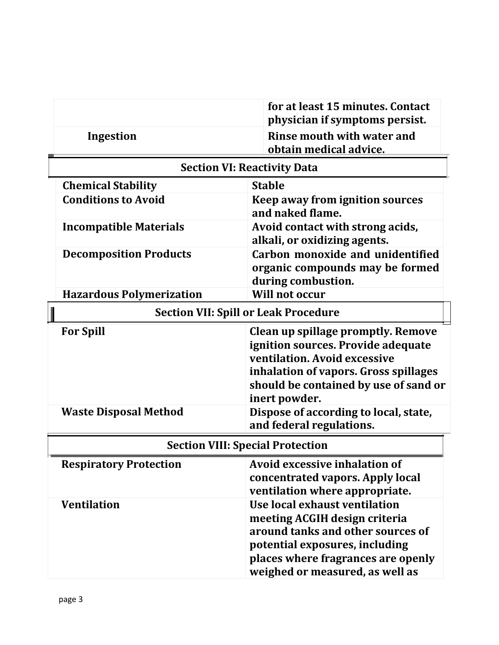|                                    | for at least 15 minutes. Contact<br>physician if symptoms persist. |
|------------------------------------|--------------------------------------------------------------------|
| Ingestion                          | Rinse mouth with water and<br>obtain medical advice.               |
| <b>Section VI: Reactivity Data</b> |                                                                    |

| Secubii vii Reactivity Data                 |                                                                                                                                                                                                             |
|---------------------------------------------|-------------------------------------------------------------------------------------------------------------------------------------------------------------------------------------------------------------|
| <b>Chemical Stability</b>                   | <b>Stable</b>                                                                                                                                                                                               |
| <b>Conditions to Avoid</b>                  | Keep away from ignition sources<br>and naked flame.                                                                                                                                                         |
| <b>Incompatible Materials</b>               | Avoid contact with strong acids,<br>alkali, or oxidizing agents.                                                                                                                                            |
| <b>Decomposition Products</b>               | Carbon monoxide and unidentified<br>organic compounds may be formed<br>during combustion.                                                                                                                   |
| <b>Hazardous Polymerization</b>             | <b>Will not occur</b>                                                                                                                                                                                       |
| <b>Section VII: Spill or Leak Procedure</b> |                                                                                                                                                                                                             |
| <b>For Spill</b>                            | Clean up spillage promptly. Remove<br>ignition sources. Provide adequate<br>ventilation. Avoid excessive<br>inhalation of vapors. Gross spillages<br>should be contained by use of sand or<br>inert powder. |
| <b>Waste Disposal Method</b>                | Dispose of according to local, state,<br>and federal regulations.                                                                                                                                           |
| <b>Section VIII: Special Protection</b>     |                                                                                                                                                                                                             |
| <b>Respiratory Protection</b>               | <b>Avoid excessive inhalation of</b><br>concentrated vapors. Apply local<br>ventilation where appropriate.                                                                                                  |
| <b>Ventilation</b>                          | Use local exhaust ventilation<br>meeting ACGIH design criteria<br>around tanks and other sources of                                                                                                         |

**potential exposures, including** 

**places where fragrances are openly weighed or measured, as well as**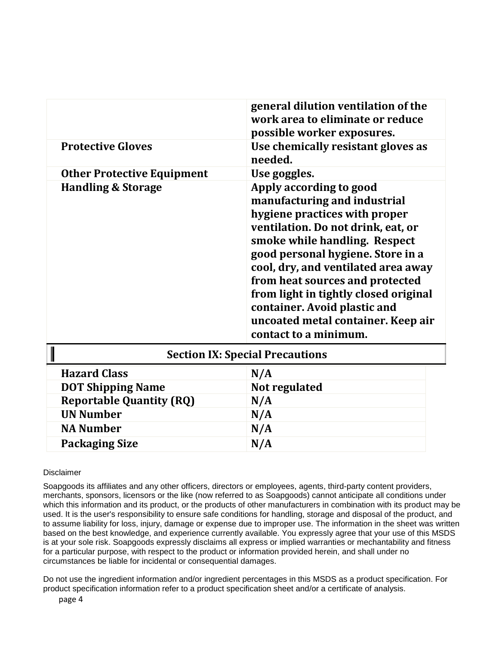|                                        | general dilution ventilation of the<br>work area to eliminate or reduce<br>possible worker exposures.                                                                                                                                                                                                                                                                                                                  |
|----------------------------------------|------------------------------------------------------------------------------------------------------------------------------------------------------------------------------------------------------------------------------------------------------------------------------------------------------------------------------------------------------------------------------------------------------------------------|
| <b>Protective Gloves</b>               | Use chemically resistant gloves as<br>needed.                                                                                                                                                                                                                                                                                                                                                                          |
| <b>Other Protective Equipment</b>      | Use goggles.                                                                                                                                                                                                                                                                                                                                                                                                           |
| <b>Handling &amp; Storage</b>          | Apply according to good<br>manufacturing and industrial<br>hygiene practices with proper<br>ventilation. Do not drink, eat, or<br>smoke while handling. Respect<br>good personal hygiene. Store in a<br>cool, dry, and ventilated area away<br>from heat sources and protected<br>from light in tightly closed original<br>container. Avoid plastic and<br>uncoated metal container. Keep air<br>contact to a minimum. |
| <b>Section IX: Special Precautions</b> |                                                                                                                                                                                                                                                                                                                                                                                                                        |
| <b>Hazard Class</b>                    | N/A                                                                                                                                                                                                                                                                                                                                                                                                                    |
| <b>DOT Shipping Name</b>               | Not regulated                                                                                                                                                                                                                                                                                                                                                                                                          |
| <b>Reportable Quantity (RQ)</b>        | N/A                                                                                                                                                                                                                                                                                                                                                                                                                    |
| <b>UN Number</b>                       | N/A                                                                                                                                                                                                                                                                                                                                                                                                                    |

## **Disclaimer**

Soapgoods its affiliates and any other officers, directors or employees, agents, third-party content providers, merchants, sponsors, licensors or the like (now referred to as Soapgoods) cannot anticipate all conditions under which this information and its product, or the products of other manufacturers in combination with its product may be used. It is the user's responsibility to ensure safe conditions for handling, storage and disposal of the product, and to assume liability for loss, injury, damage or expense due to improper use. The information in the sheet was written based on the best knowledge, and experience currently available. You expressly agree that your use of this MSDS is at your sole risk. Soapgoods expressly disclaims all express or implied warranties or mechantability and fitness for a particular purpose, with respect to the product or information provided herein, and shall under no circumstances be liable for incidental or consequential damages.

**NA Number N/A Packaging Size N/A** 

Do not use the ingredient information and/or ingredient percentages in this MSDS as a product specification. For product specification information refer to a product specification sheet and/or a certificate of analysis.